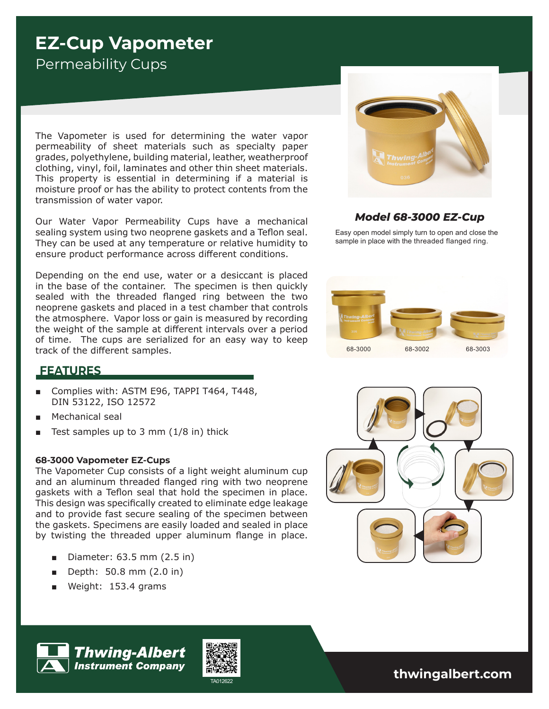# **EZ-Cup Vapometer** Permeability Cups

The Vapometer is used for determining the water vapor permeability of sheet materials such as specialty paper grades, polyethylene, building material, leather, weatherproof clothing, vinyl, foil, laminates and other thin sheet materials. This property is essential in determining if a material is moisture proof or has the ability to protect contents from the transmission of water vapor.

Our Water Vapor Permeability Cups have a mechanical sealing system using two neoprene gaskets and a Teflon seal. They can be used at any temperature or relative humidity to ensure product performance across different conditions.

Depending on the end use, water or a desiccant is placed in the base of the container. The specimen is then quickly sealed with the threaded flanged ring between the two neoprene gaskets and placed in a test chamber that controls the atmosphere. Vapor loss or gain is measured by recording the weight of the sample at different intervals over a period of time. The cups are serialized for an easy way to keep track of the different samples.



### *Model 68-3000 EZ-Cup*

Easy open model simply turn to open and close the sample in place with the threaded flanged ring.



## **FEATURES**

- Complies with: ASTM E96, TAPPI T464, T448, DIN 53122, ISO 12572
- Mechanical seal
- Test samples up to 3 mm  $(1/8$  in) thick

#### **68-3000 Vapometer EZ-Cups**

The Vapometer Cup consists of a light weight aluminum cup and an aluminum threaded flanged ring with two neoprene gaskets with a Teflon seal that hold the specimen in place. This design was specifically created to eliminate edge leakage and to provide fast secure sealing of the specimen between the gaskets. Specimens are easily loaded and sealed in place by twisting the threaded upper aluminum flange in place.

■ Diameter: 63.5 mm (2.5 in)

**Thwing-Albert Instrument Company** 

- Depth: 50.8 mm (2.0 in)
- Weight: 153.4 grams



TA012622 **thwingalbert.com**